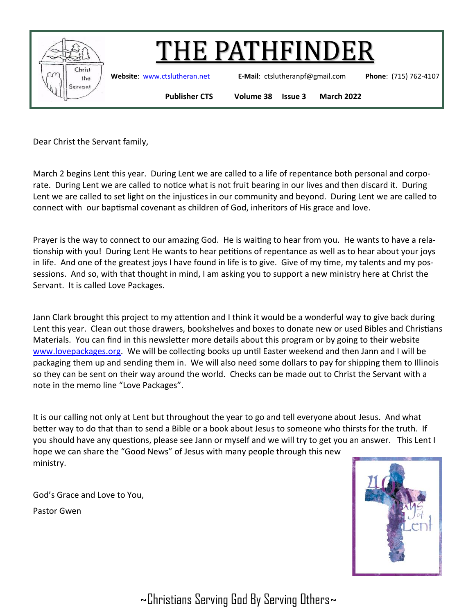

**Website**: [www.ctslutheran.net](http://www.ctslutheran.net/) **E-Mail**: ctslutheranpf@gmail.com **Phone**: (715) 762-4107

**Publisher CTS Volume 38 Issue 3 March 2022**

Dear Christ the Servant family,

March 2 begins Lent this year. During Lent we are called to a life of repentance both personal and corporate. During Lent we are called to notice what is not fruit bearing in our lives and then discard it. During Lent we are called to set light on the injustices in our community and beyond. During Lent we are called to connect with our baptismal covenant as children of God, inheritors of His grace and love.

Prayer is the way to connect to our amazing God. He is waiting to hear from you. He wants to have a relationship with you! During Lent He wants to hear petitions of repentance as well as to hear about your joys in life. And one of the greatest joys I have found in life is to give. Give of my time, my talents and my possessions. And so, with that thought in mind, I am asking you to support a new ministry here at Christ the Servant. It is called Love Packages.

Jann Clark brought this project to my attention and I think it would be a wonderful way to give back during Lent this year. Clean out those drawers, bookshelves and boxes to donate new or used Bibles and Christians Materials. You can find in this newsletter more details about this program or by going to their website [www.lovepackages.org.](http://www.lovepackages.org) We will be collecting books up until Easter weekend and then Jann and I will be packaging them up and sending them in. We will also need some dollars to pay for shipping them to Illinois so they can be sent on their way around the world. Checks can be made out to Christ the Servant with a note in the memo line "Love Packages".

It is our calling not only at Lent but throughout the year to go and tell everyone about Jesus. And what better way to do that than to send a Bible or a book about Jesus to someone who thirsts for the truth. If you should have any questions, please see Jann or myself and we will try to get you an answer. This Lent I hope we can share the "Good News" of Jesus with many people through this new ministry.

God's Grace and Love to You,

Pastor Gwen

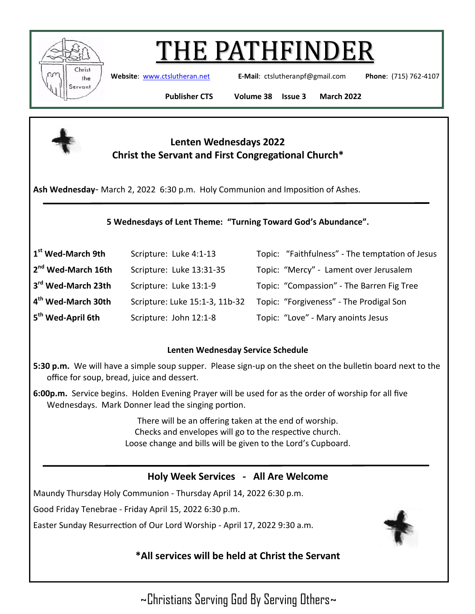

**Website**: [www.ctslutheran.net](http://www.ctslutheran.net/) **E-Mail**: ctslutheranpf@gmail.com **Phone**: (715) 762-4107

**Publisher CTS Volume 38 Issue 3 March 2022**



# **Lenten Wednesdays 2022 Christ the Servant and First Congregational Church\***

**Ash Wednesday**- March 2, 2022 6:30 p.m. Holy Communion and Imposition of Ashes.

### **5 Wednesdays of Lent Theme: "Turning Toward God's Abundance".**

| 1 <sup>st</sup> Wed-March 9th  | Scripture: Luke 4:1-13         | Topic: "Faithfulness" - The temptation of Jesus |
|--------------------------------|--------------------------------|-------------------------------------------------|
| 2 <sup>nd</sup> Wed-March 16th | Scripture: Luke 13:31-35       | Topic: "Mercy" - Lament over Jerusalem          |
| 3rd Wed-March 23th             | Scripture: Luke 13:1-9         | Topic: "Compassion" - The Barren Fig Tree       |
| 4 <sup>th</sup> Wed-March 30th | Scripture: Luke 15:1-3, 11b-32 | Topic: "Forgiveness" - The Prodigal Son         |
| 5 <sup>th</sup> Wed-April 6th  | Scripture: John 12:1-8         | Topic: "Love" - Mary anoints Jesus              |

#### **Lenten Wednesday Service Schedule**

- **5:30 p.m.** We will have a simple soup supper. Please sign-up on the sheet on the bulletin board next to the office for soup, bread, juice and dessert.
- **6:00p.m.** Service begins. Holden Evening Prayer will be used for as the order of worship for all five Wednesdays. Mark Donner lead the singing portion.

There will be an offering taken at the end of worship. Checks and envelopes will go to the respective church. Loose change and bills will be given to the Lord's Cupboard.

# **Holy Week Services - All Are Welcome**

Maundy Thursday Holy Communion - Thursday April 14, 2022 6:30 p.m.

Good Friday Tenebrae - Friday April 15, 2022 6:30 p.m.

Easter Sunday Resurrection of Our Lord Worship - April 17, 2022 9:30 a.m.



# **\*All services will be held at Christ the Servant**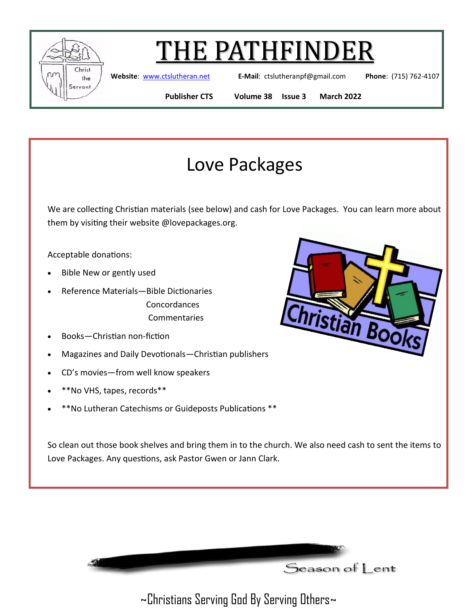

**Website**: [www.ctslutheran.net](http://www.ctslutheran.net/) **E-Mail**: ctslutheranpf@gmail.com **Phone**: (715) 762-4107

**Publisher CTS Volume 38 Issue 3 March 2022**

ristian Bod

# Love Packages

We are collecting Christian materials (see below) and cash for Love Packages. You can learn more about them by visiting their website @lovepackages.org.

Acceptable donations:

- Bible New or gently used
- Reference Materials—Bible Dictionaries Concordances **Commentaries**
- Books—Christian non-fiction
- Magazines and Daily Devotionals—Christian publishers
- CD's movies—from well know speakers
- \*\*No VHS, tapes, records\*\*
- \*\*No Lutheran Catechisms or Guideposts Publications \*\*

So clean out those book shelves and bring them in to the church. We also need cash to sent the items to Love Packages. Any questions, ask Pastor Gwen or Jann Clark.

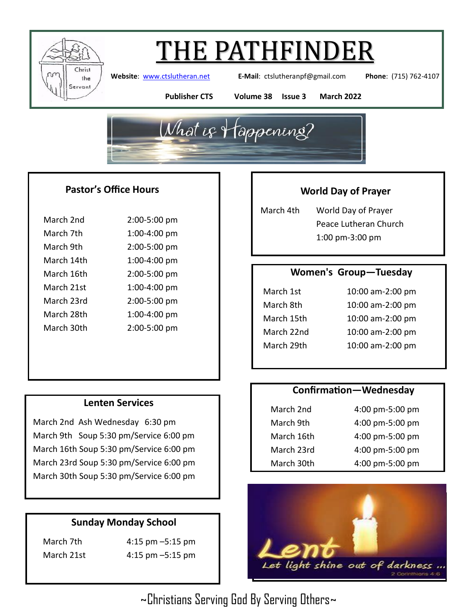

**Website**: [www.ctslutheran.net](http://www.ctslutheran.net/) **E-Mail**: ctslutheranpf@gmail.com **Phone**: (715) 762-4107

**Publisher CTS Volume 38 Issue 3 March 2022**



### **Pastor's Office Hours**

| March 2nd  | 2:00-5:00 pm |
|------------|--------------|
| March 7th  | 1:00-4:00 pm |
| March 9th  | 2:00-5:00 pm |
| March 14th | 1:00-4:00 pm |
| March 16th | 2:00-5:00 pm |
| March 21st | 1:00-4:00 pm |
| March 23rd | 2:00-5:00 pm |
| March 28th | 1:00-4:00 pm |
| March 30th | 2:00-5:00 pm |
|            |              |

### **Lenten Services**

March 2nd Ash Wednesday 6:30 pm March 9th Soup 5:30 pm/Service 6:00 pm March 16th Soup 5:30 pm/Service 6:00 pm March 23rd Soup 5:30 pm/Service 6:00 pm March 30th Soup 5:30 pm/Service 6:00 pm

# **Sunday Monday School**

March 7th 4:15 pm –5:15 pm March 21st 4:15 pm –5:15 pm

# **World Day of Prayer**

March 4th World Day of Prayer Peace Lutheran Church 1:00 pm-3:00 pm

#### **Women's Group—Tuesday**

March 1st 10:00 am-2:00 pm March 8th 10:00 am-2:00 pm March 15th 10:00 am-2:00 pm March 22nd 10:00 am-2:00 pm March 29th 10:00 am-2:00 pm

### **Confirmation—Wednesday**

| March 2nd  | 4:00 pm-5:00 pm |
|------------|-----------------|
| March 9th  | 4:00 pm-5:00 pm |
| March 16th | 4:00 pm-5:00 pm |
| March 23rd | 4:00 pm-5:00 pm |
| March 30th | 4:00 pm-5:00 pm |

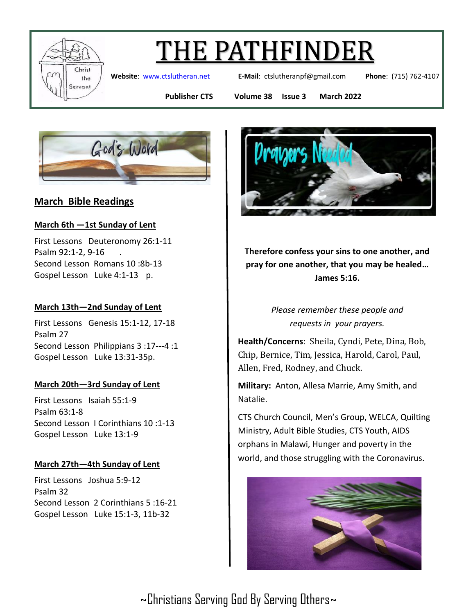

**Website**: [www.ctslutheran.net](http://www.ctslutheran.net/) **E-Mail**: ctslutheranpf@gmail.com **Phone**: (715) 762-4107

**Publisher CTS Volume 38 Issue 3 March 2022**



# **March Bible Readings**

### **March 6th —1st Sunday of Lent**

First Lessons Deuteronomy 26:1-11 Psalm 92:1-2, 9-16 . Second Lesson Romans 10 :8b-13 Gospel Lesson Luke 4:1-13 p.

### **March 13th—2nd Sunday of Lent**

First Lessons Genesis 15:1-12, 17-18 Psalm 27 Second Lesson Philippians 3 :17---4 :1 Gospel Lesson Luke 13:31-35p.

#### **March 20th—3rd Sunday of Lent**

First Lessons Isaiah 55:1-9 Psalm 63:1-8 Second Lesson I Corinthians 10 :1-13 Gospel Lesson Luke 13:1-9

### **March 27th—4th Sunday of Lent**

First Lessons Joshua 5:9-12 Psalm 32 Second Lesson 2 Corinthians 5 :16-21 Gospel Lesson Luke 15:1-3, 11b-32



**Therefore confess your sins to one another, and pray for one another, that you may be healed… James 5:16.**

> *Please remember these people and requests in your prayers.*

**Health/Concerns**: Sheila, Cyndi, Pete, Dina, Bob, Chip, Bernice, Tim, Jessica, Harold, Carol, Paul, Allen, Fred, Rodney, and Chuck.

**Military:** Anton, Allesa Marrie, Amy Smith, and Natalie.

CTS Church Council, Men's Group, WELCA, Quilting Ministry, Adult Bible Studies, CTS Youth, AIDS orphans in Malawi, Hunger and poverty in the world, and those struggling with the Coronavirus.